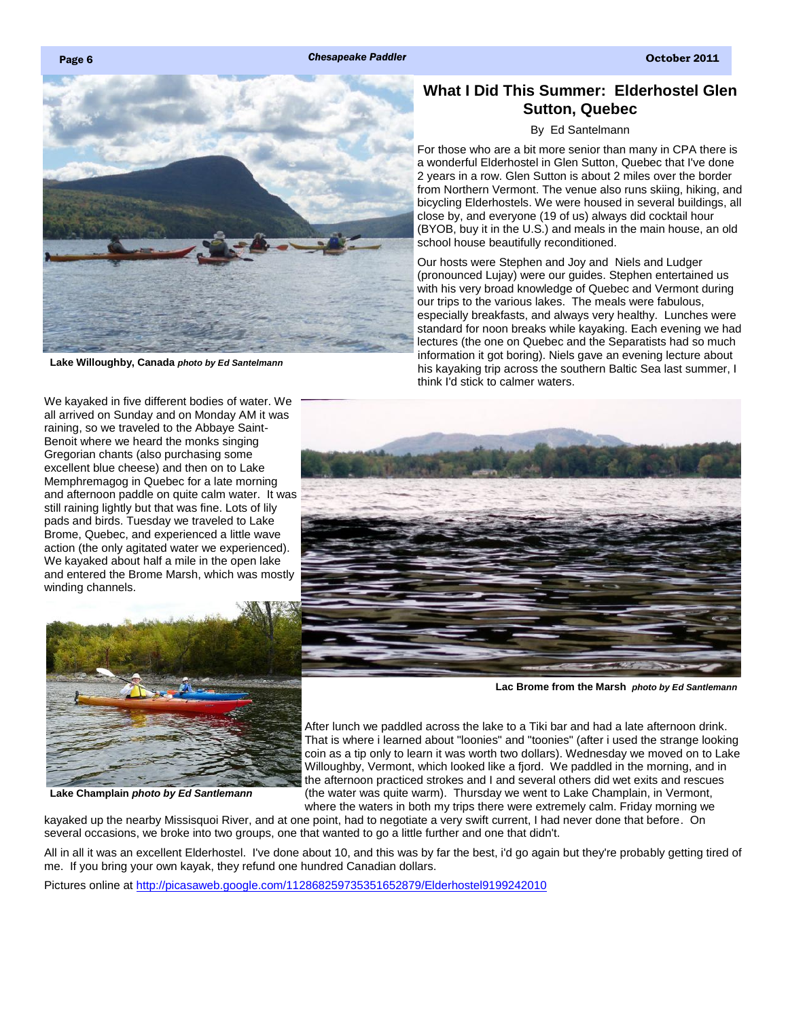<span id="page-0-0"></span>



**Lake Willoughby, Canada** *photo by Ed Santelmann*

We kayaked in five different bodies of water. We all arrived on Sunday and on Monday AM it was raining, so we traveled to the Abbaye Saint-Benoit where we heard the monks singing Gregorian chants (also purchasing some excellent blue cheese) and then on to Lake Memphremagog in Quebec for a late morning and afternoon paddle on quite calm water. It was still raining lightly but that was fine. Lots of lily pads and birds. Tuesday we traveled to Lake Brome, Quebec, and experienced a little wave action (the only agitated water we experienced). We kayaked about half a mile in the open lake and entered the Brome Marsh, which was mostly winding channels.



**Lake Champlain** *photo by Ed Santlemann*

## **What I Did This Summer: Elderhostel Glen Sutton, Quebec**

## By Ed Santelmann

For those who are a bit more senior than many in CPA there is a wonderful Elderhostel in Glen Sutton, Quebec that I've done 2 years in a row. Glen Sutton is about 2 miles over the border from Northern Vermont. The venue also runs skiing, hiking, and bicycling Elderhostels. We were housed in several buildings, all close by, and everyone (19 of us) always did cocktail hour (BYOB, buy it in the U.S.) and meals in the main house, an old school house beautifully reconditioned.

Our hosts were Stephen and Joy and Niels and Ludger (pronounced Lujay) were our guides. Stephen entertained us with his very broad knowledge of Quebec and Vermont during our trips to the various lakes. The meals were fabulous, especially breakfasts, and always very healthy. Lunches were standard for noon breaks while kayaking. Each evening we had lectures (the one on Quebec and the Separatists had so much information it got boring). Niels gave an evening lecture about his kayaking trip across the southern Baltic Sea last summer, I think I'd stick to calmer waters.



**Lac Brome from the Marsh** *photo by Ed Santlemann*

After lunch we paddled across the lake to a Tiki bar and had a late afternoon drink. That is where i learned about "loonies" and "toonies" (after i used the strange looking coin as a tip only to learn it was worth two dollars). Wednesday we moved on to Lake Willoughby, Vermont, which looked like a fjord. We paddled in the morning, and in the afternoon practiced strokes and I and several others did wet exits and rescues (the water was quite warm). Thursday we went to Lake Champlain, in Vermont, where the waters in both my trips there were extremely calm. Friday morning we

kayaked up the nearby Missisquoi River, and at one point, had to negotiate a very swift current, I had never done that before. On several occasions, we broke into two groups, one that wanted to go a little further and one that didn't.

All in all it was an excellent Elderhostel. I've done about 10, and this was by far the best, i'd go again but they're probably getting tired of me. If you bring your own kayak, they refund one hundred Canadian dollars.

Pictures online at <http://picasaweb.google.com/112868259735351652879/Elderhostel9199242010>